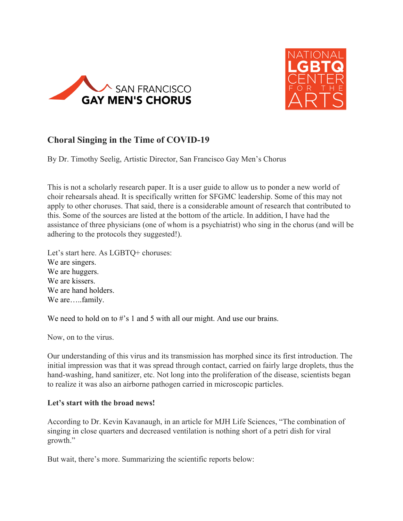



# **Choral Singing in the Time of COVID-19**

By Dr. Timothy Seelig, Artistic Director, San Francisco Gay Men's Chorus

This is not a scholarly research paper. It is a user guide to allow us to ponder a new world of choir rehearsals ahead. It is specifically written for SFGMC leadership. Some of this may not apply to other choruses. That said, there is a considerable amount of research that contributed to this. Some of the sources are listed at the bottom of the article. In addition, I have had the assistance of three physicians (one of whom is a psychiatrist) who sing in the chorus (and will be adhering to the protocols they suggested!).

Let's start here. As LGBTQ+ choruses: We are singers. We are huggers. We are kissers. We are hand holders. We are.....family.

We need to hold on to #'s 1 and 5 with all our might. And use our brains.

Now, on to the virus.

Our understanding of this virus and its transmission has morphed since its first introduction. The initial impression was that it was spread through contact, carried on fairly large droplets, thus the hand-washing, hand sanitizer, etc. Not long into the proliferation of the disease, scientists began to realize it was also an airborne pathogen carried in microscopic particles.

#### **Let's start with the broad news!**

According to Dr. Kevin Kavanaugh, in an article for MJH Life Sciences, "The combination of singing in close quarters and decreased ventilation is nothing short of a petri dish for viral growth."

But wait, there's more. Summarizing the scientific reports below: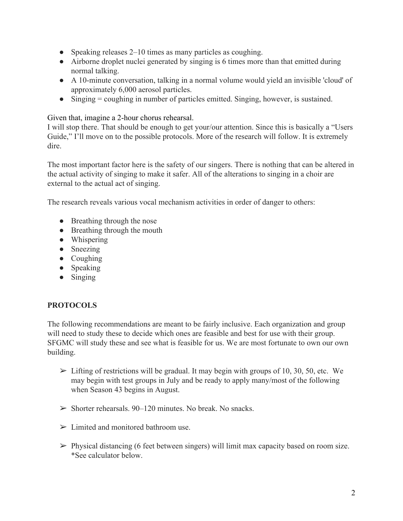- Speaking releases 2–10 times as many particles as coughing.
- Airborne droplet nuclei generated by singing is 6 times more than that emitted during normal talking.
- A 10-minute conversation, talking in a normal volume would yield an invisible 'cloud' of approximately 6,000 aerosol particles.
- Singing = coughing in number of particles emitted. Singing, however, is sustained.

Given that, imagine a 2-hour chorus rehearsal.

I will stop there. That should be enough to get your/our attention. Since this is basically a "Users Guide," I'll move on to the possible protocols. More of the research will follow. It is extremely dire.

The most important factor here is the safety of our singers. There is nothing that can be altered in the actual activity of singing to make it safer. All of the alterations to singing in a choir are external to the actual act of singing.

The research reveals various vocal mechanism activities in order of danger to others:

- Breathing through the nose
- Breathing through the mouth
- Whispering
- Sneezing
- Coughing
- Speaking
- Singing

### **PROTOCOLS**

The following recommendations are meant to be fairly inclusive. Each organization and group will need to study these to decide which ones are feasible and best for use with their group. SFGMC will study these and see what is feasible for us. We are most fortunate to own our own building.

- $\triangleright$  Lifting of restrictions will be gradual. It may begin with groups of 10, 30, 50, etc. We may begin with test groups in July and be ready to apply many/most of the following when Season 43 begins in August.
- $\geq$  Shorter rehearsals. 90–120 minutes. No break. No snacks.
- $\triangleright$  Limited and monitored bathroom use.
- $\triangleright$  Physical distancing (6 feet between singers) will limit max capacity based on room size. \*See calculator below.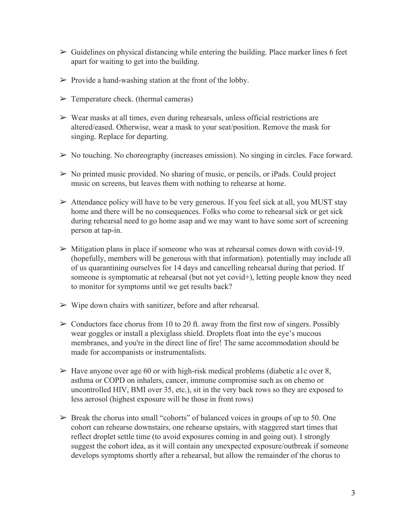- $\triangleright$  Guidelines on physical distancing while entering the building. Place marker lines 6 feet apart for waiting to get into the building.
- $\triangleright$  Provide a hand-washing station at the front of the lobby.
- $\triangleright$  Temperature check. (thermal cameras)
- $\triangleright$  Wear masks at all times, even during rehearsals, unless official restrictions are altered/eased. Otherwise, wear a mask to your seat/position. Remove the mask for singing. Replace for departing.
- $\triangleright$  No touching. No choreography (increases emission). No singing in circles. Face forward.
- $\triangleright$  No printed music provided. No sharing of music, or pencils, or iPads. Could project music on screens, but leaves them with nothing to rehearse at home.
- $\triangleright$  Attendance policy will have to be very generous. If you feel sick at all, you MUST stay home and there will be no consequences. Folks who come to rehearsal sick or get sick during rehearsal need to go home asap and we may want to have some sort of screening person at tap-in.
- $\triangleright$  Mitigation plans in place if someone who was at rehearsal comes down with covid-19. (hopefully, members will be generous with that information). potentially may include all of us quarantining ourselves for 14 days and cancelling rehearsal during that period. If someone is symptomatic at rehearsal (but not yet covid+), letting people know they need to monitor for symptoms until we get results back?
- $\triangleright$  Wipe down chairs with sanitizer, before and after rehearsal.
- $\geq$  Conductors face chorus from 10 to 20 ft. away from the first row of singers. Possibly wear goggles or install a plexiglass shield. Droplets float into the eye's mucous membranes, and you're in the direct line of fire! The same accommodation should be made for accompanists or instrumentalists.
- $\triangleright$  Have anyone over age 60 or with high-risk medical problems (diabetic a1c over 8, asthma or COPD on inhalers, cancer, immune compromise such as on chemo or uncontrolled HIV, BMI over 35, etc.), sit in the very back rows so they are exposed to less aerosol (highest exposure will be those in front rows)
- $\triangleright$  Break the chorus into small "cohorts" of balanced voices in groups of up to 50. One cohort can rehearse downstairs, one rehearse upstairs, with staggered start times that reflect droplet settle time (to avoid exposures coming in and going out). I strongly suggest the cohort idea, as it will contain any unexpected exposure/outbreak if someone develops symptoms shortly after a rehearsal, but allow the remainder of the chorus to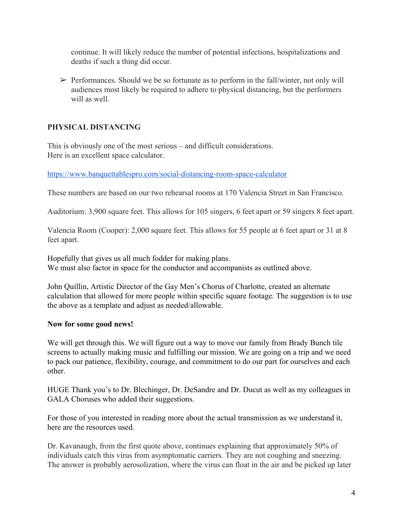continue. It will likely reduce the number of potential infections, hospitalizations and deaths if such a thing did occur.

 $\triangleright$  Performances. Should we be so fortunate as to perform in the fall/winter, not only will audiences most likely be required to adhere to physical distancing, but the performers will as well.

## **PHYSICAL DISTANCING**

This is obviously one of the most serious – and difficult considerations. Here is an excellent space calculator.

<https://www.banquettablespro.com/social-distancing-room-space-calculator>

These numbers are based on our two rehearsal rooms at 170 Valencia Street in San Francisco.

Auditorium: 3,900 square feet. This allows for 105 singers, 6 feet apart or 59 singers 8 feet apart.

Valencia Room (Cooper): 2,000 square feet. This allows for 55 people at 6 feet apart or 31 at 8 feet apart.

Hopefully that gives us all much fodder for making plans. We must also factor in space for the conductor and accompanists as outlined above.

John Quillin, Artistic Director of the Gay Men's Chorus of Charlotte, created an alternate calculation that allowed for more people within specific square footage. The suggestion is to use the above as a template and adjust as needed/allowable.

### **Now for some good news!**

We will get through this. We will figure out a way to move our family from Brady Bunch tile screens to actually making music and fulfilling our mission. We are going on a trip and we need to pack our patience, flexibility, courage, and commitment to do our part for ourselves and each other.

HUGE Thank you's to Dr. Blechinger, Dr. DeSandre and Dr. Ducut as well as my colleagues in GALA Choruses who added their suggestions.

For those of you interested in reading more about the actual transmission as we understand it, here are the resources used.

Dr. Kavanaugh, from the first quote above, continues explaining that approximately 50% of individuals catch this virus from asymptomatic carriers. They are not coughing and sneezing. The answer is probably aerosolization, where the virus can float in the air and be picked up later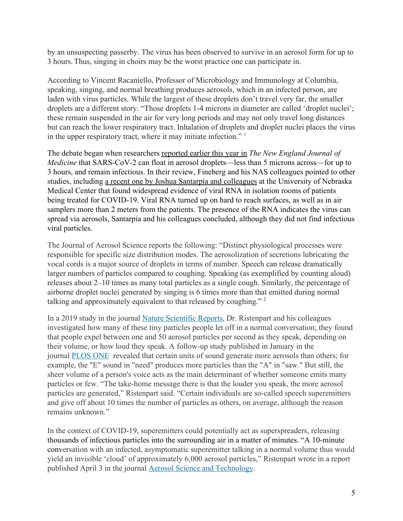by an unsuspecting passerby. The virus has been observed to survive in an aerosol form for up to 3 hours.Thus, singing in choirs may be the worst practice one can participate in.

According to [Vincent Racaniello, Professor of Microbiology and Immunology at Columbia,](https://www.virology.ws/2009/04/29/influenza-virus-transmission/) speaking, singing, and normal breathing produces aerosols, which in an infected person, are laden with virus particles. While the largest of these droplets don't travel very far, the smaller droplets are a different story. "Those droplets 1-4 microns in diameter are called 'droplet nuclei'; these remain suspended in the air for very long periods and may not only travel long distances but can reach the lower respiratory tract. Inhalation of droplets and droplet nuclei places the virus in the upper respiratory tract, where it may initiate infection."  $\frac{1}{1}$ 

The debate began when researchers [reported earlier this year in](https://www.nejm.org/doi/full/10.1056/NEJMc2004973) *[The New England Journal of](https://www.nejm.org/doi/full/10.1056/NEJMc2004973) [Medicine](https://www.nejm.org/doi/full/10.1056/NEJMc2004973)* that SARS-CoV-2 can float in aerosol droplets—less than 5 microns across—for up to 3 hours, and remain infectious. In their review, Fineberg and his NAS colleagues pointed to other studies, including [a recent one by Joshua Santarpia and colleagues](https://www.medrxiv.org/content/10.1101/2020.03.23.20039446v2) at the University of Nebraska Medical Center that found widespread evidence of viral RNA in isolation rooms of patients being treated for COVID-19. Viral RNA turned up on hard to reach surfaces, as well as in air samplers more than 2 meters from the patients. The presence of the RNA indicates the virus can spread via aerosols, Santarpia and his colleagues concluded, although they did not find infectious viral particles.

The Journal of Aerosol Science reports the following: "Distinct physiological processes were responsible for specific size distribution modes. The aerosolization of secretions lubricating the vocal cords is a major source of droplets in terms of number. Speech can release dramatically larger numbers of particles compared to coughing. Speaking (as exemplified by counting aloud) releases about 2–10 times as many total particles as a single cough. Similarly, the percentage of airborne droplet nuclei generated by singing is 6 times more than that emitted during normal talking and approximately equivalent to that released by coughing." <sup>2</sup>

In a 2019 study in the journal [Nature Scientific Reports](https://www.nature.com/articles/s41598-019-38808-z), Dr. Ristenpart and his colleagues investigated how many of these tiny particles people let off in a normal conversation; they found that people expel between one and 50 aerosol particles per second as they speak, depending on their volume, or how loud they speak. A follow-up study published in January in the journal [PLOS ONE](https://journals.plos.org/plosone/article?id=10.1371/journal.pone.0227699) revealed that certain units of sound generate more aerosols than others; for example, the "E" sound in "need" produces more particles than the "A" in "saw." But still, the sheer volume of a person's voice acts as the main determinant of whether someone emits many particles or few. "The take-home message there is that the louder you speak, the more aerosol particles are generated," Ristenpart said. "Certain individuals are so-called speech superemitters and give off about 10 times the number of particles as others, on average, although the reason remains unknown."

In the context of COVID-19, superemitters could potentially act as superspreaders, releasing thousands of infectious particles into the surrounding air in a matter of minutes. "A 10-minute conversation with an infected, asymptomatic superemitter talking in a normal volume thus would yield an invisible 'cloud' of approximately 6,000 aerosol particles," Ristenpart wrote in a report published April 3 in the journal [Aerosol Science and Technology.](https://www.tandfonline.com/doi/full/10.1080/02786826.2020.1749229)